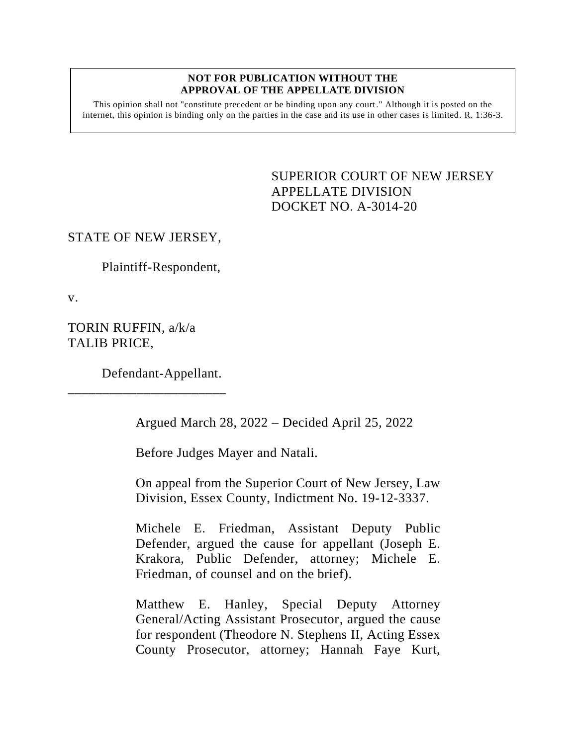#### **NOT FOR PUBLICATION WITHOUT THE APPROVAL OF THE APPELLATE DIVISION**

This opinion shall not "constitute precedent or be binding upon any court." Although it is posted on the internet, this opinion is binding only on the parties in the case and its use in other cases is limited.  $R_1$  1:36-3.

> <span id="page-0-0"></span>SUPERIOR COURT OF NEW JERSEY APPELLATE DIVISION DOCKET NO. A-3014-20

# STATE OF NEW JERSEY,

Plaintiff-Respondent,

v.

TORIN RUFFIN, a/k/a TALIB PRICE,

Defendant-Appellant.

\_\_\_\_\_\_\_\_\_\_\_\_\_\_\_\_\_\_\_\_\_\_\_

Argued March 28, 2022 – Decided April 25, 2022

Before Judges Mayer and Natali.

On appeal from the Superior Court of New Jersey, Law Division, Essex County, Indictment No. 19-12-3337.

Michele E. Friedman, Assistant Deputy Public Defender, argued the cause for appellant (Joseph E. Krakora, Public Defender, attorney; Michele E. Friedman, of counsel and on the brief).

Matthew E. Hanley, Special Deputy Attorney General/Acting Assistant Prosecutor, argued the cause for respondent (Theodore N. Stephens II, Acting Essex County Prosecutor, attorney; Hannah Faye Kurt,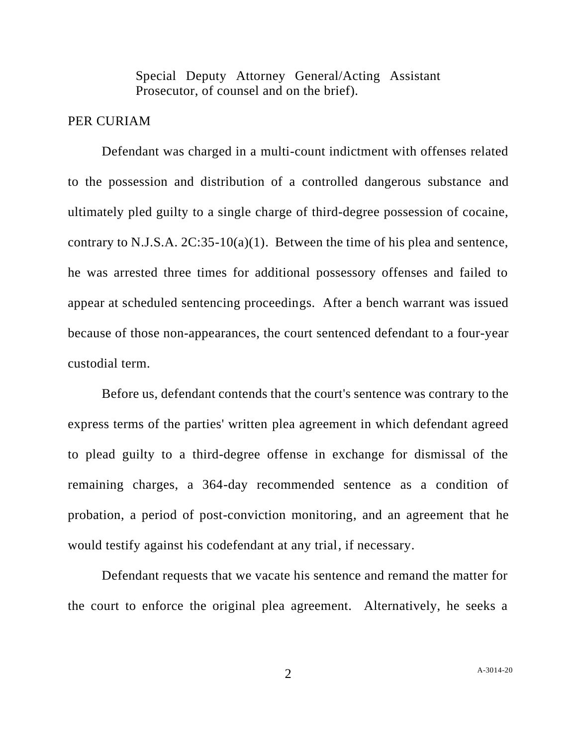Special Deputy Attorney General/Acting Assistant Prosecutor, of counsel and on the brief).

# PER CURIAM

Defendant was charged in a multi-count indictment with offenses related to the possession and distribution of a controlled dangerous substance and ultimately pled guilty to a single charge of third-degree possession of cocaine, contrary to N.J.S.A. 2C:35-10(a)(1). Between the time of his plea and sentence, he was arrested three times for additional possessory offenses and failed to appear at scheduled sentencing proceedings. After a bench warrant was issued because of those non-appearances, the court sentenced defendant to a four-year custodial term.

Before us, defendant contends that the court's sentence was contrary to the express terms of the parties' written plea agreement in which defendant agreed to plead guilty to a third-degree offense in exchange for dismissal of the remaining charges, a 364-day recommended sentence as a condition of probation, a period of post-conviction monitoring, and an agreement that he would testify against his codefendant at any trial, if necessary.

Defendant requests that we vacate his sentence and remand the matter for the court to enforce the original plea agreement. Alternatively, he seeks a

2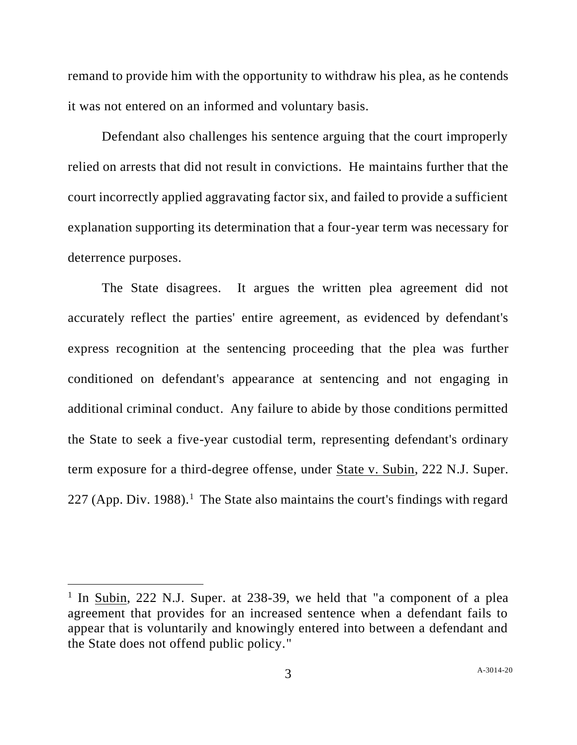remand to provide him with the opportunity to withdraw his plea, as he contends it was not entered on an informed and voluntary basis.

Defendant also challenges his sentence arguing that the court improperly relied on arrests that did not result in convictions. He maintains further that the court incorrectly applied aggravating factor six, and failed to provide a sufficient explanation supporting its determination that a four-year term was necessary for deterrence purposes.

The State disagrees. It argues the written plea agreement did not accurately reflect the parties' entire agreement, as evidenced by defendant's express recognition at the sentencing proceeding that the plea was further conditioned on defendant's appearance at sentencing and not engaging in additional criminal conduct. Any failure to abide by those conditions permitted the State to seek a five-year custodial term, representing defendant's ordinary term exposure for a third-degree offense, under State v. Subin, 222 N.J. Super. 227 (App. Div. 1988).<sup>1</sup> The State also maintains the court's findings with regard

<sup>&</sup>lt;sup>1</sup> In <u>Subin</u>, 222 N.J. Super. at 238-39, we held that "a component of a plea agreement that provides for an increased sentence when a defendant fails to appear that is voluntarily and knowingly entered into between a defendant and the State does not offend public policy."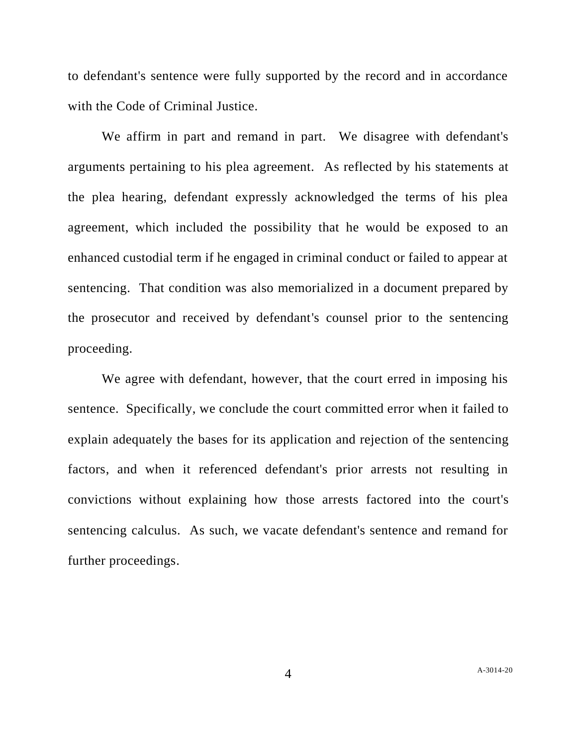to defendant's sentence were fully supported by the record and in accordance with the Code of Criminal Justice.

We affirm in part and remand in part. We disagree with defendant's arguments pertaining to his plea agreement. As reflected by his statements at the plea hearing, defendant expressly acknowledged the terms of his plea agreement, which included the possibility that he would be exposed to an enhanced custodial term if he engaged in criminal conduct or failed to appear at sentencing. That condition was also memorialized in a document prepared by the prosecutor and received by defendant's counsel prior to the sentencing proceeding.

We agree with defendant, however, that the court erred in imposing his sentence. Specifically, we conclude the court committed error when it failed to explain adequately the bases for its application and rejection of the sentencing factors, and when it referenced defendant's prior arrests not resulting in convictions without explaining how those arrests factored into the court's sentencing calculus. As such, we vacate defendant's sentence and remand for further proceedings.

A[-3014-20](#page-0-0)

4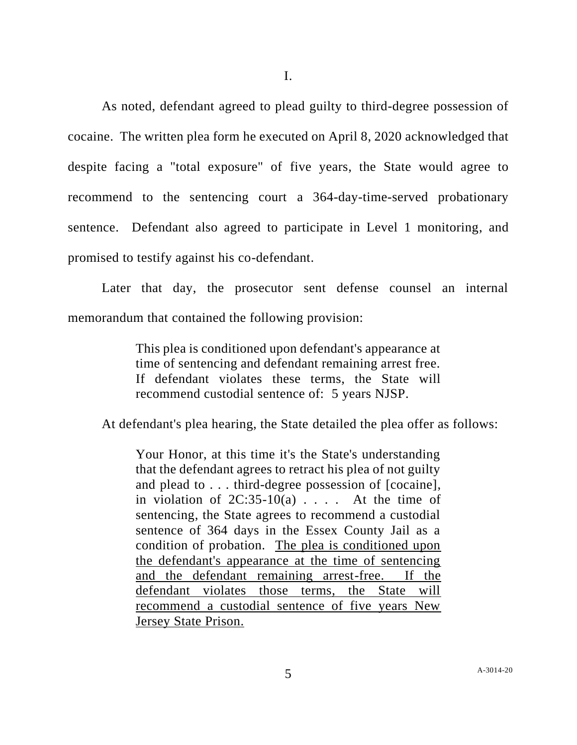As noted, defendant agreed to plead guilty to third-degree possession of cocaine. The written plea form he executed on April 8, 2020 acknowledged that despite facing a "total exposure" of five years, the State would agree to recommend to the sentencing court a 364-day-time-served probationary sentence. Defendant also agreed to participate in Level 1 monitoring, and promised to testify against his co-defendant.

Later that day, the prosecutor sent defense counsel an internal memorandum that contained the following provision:

> This plea is conditioned upon defendant's appearance at time of sentencing and defendant remaining arrest free. If defendant violates these terms, the State will recommend custodial sentence of: 5 years NJSP.

At defendant's plea hearing, the State detailed the plea offer as follows:

Your Honor, at this time it's the State's understanding that the defendant agrees to retract his plea of not guilty and plead to . . . third-degree possession of [cocaine], in violation of  $2C:35-10(a)$ .... At the time of sentencing, the State agrees to recommend a custodial sentence of 364 days in the Essex County Jail as a condition of probation. The plea is conditioned upon the defendant's appearance at the time of sentencing and the defendant remaining arrest-free. If the defendant violates those terms, the State will recommend a custodial sentence of five years New Jersey State Prison.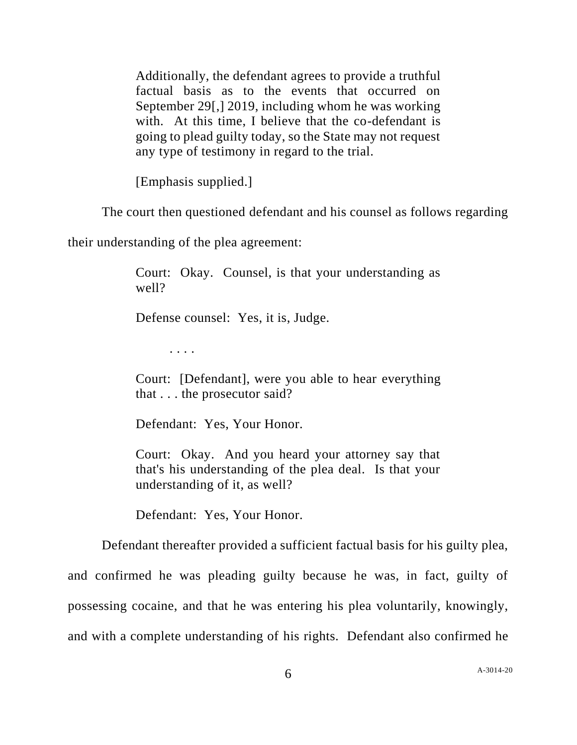Additionally, the defendant agrees to provide a truthful factual basis as to the events that occurred on September 29[,] 2019, including whom he was working with. At this time, I believe that the co-defendant is going to plead guilty today, so the State may not request any type of testimony in regard to the trial.

[Emphasis supplied.]

The court then questioned defendant and his counsel as follows regarding

their understanding of the plea agreement:

Court: Okay. Counsel, is that your understanding as well?

Defense counsel: Yes, it is, Judge.

. . . .

Court: [Defendant], were you able to hear everything that . . . the prosecutor said?

Defendant: Yes, Your Honor.

Court: Okay. And you heard your attorney say that that's his understanding of the plea deal. Is that your understanding of it, as well?

Defendant: Yes, Your Honor.

Defendant thereafter provided a sufficient factual basis for his guilty plea,

and confirmed he was pleading guilty because he was, in fact, guilty of

possessing cocaine, and that he was entering his plea voluntarily, knowingly,

and with a complete understanding of his rights. Defendant also confirmed he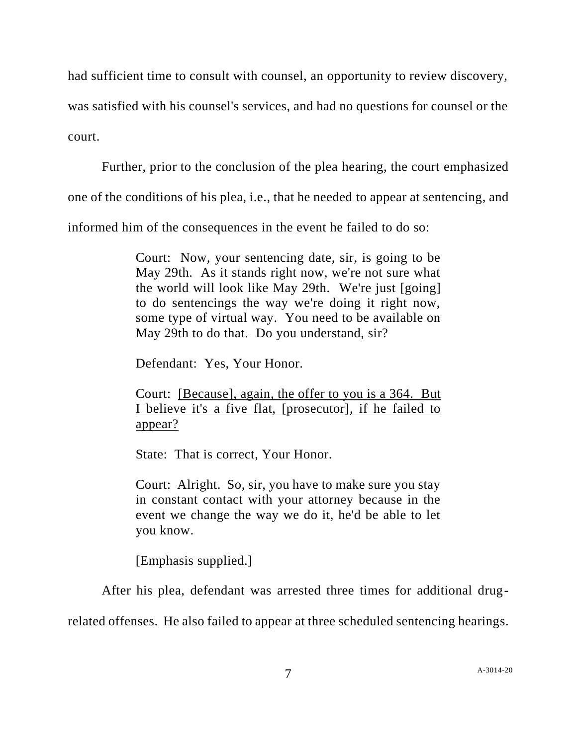had sufficient time to consult with counsel, an opportunity to review discovery,

was satisfied with his counsel's services, and had no questions for counsel or the

court.

Further, prior to the conclusion of the plea hearing, the court emphasized

one of the conditions of his plea, i.e., that he needed to appear at sentencing, and

informed him of the consequences in the event he failed to do so:

Court: Now, your sentencing date, sir, is going to be May 29th. As it stands right now, we're not sure what the world will look like May 29th. We're just [going] to do sentencings the way we're doing it right now, some type of virtual way. You need to be available on May 29th to do that. Do you understand, sir?

Defendant: Yes, Your Honor.

Court: [Because], again, the offer to you is a 364. But I believe it's a five flat, [prosecutor], if he failed to appear?

State: That is correct, Your Honor.

Court: Alright. So, sir, you have to make sure you stay in constant contact with your attorney because in the event we change the way we do it, he'd be able to let you know.

[Emphasis supplied.]

After his plea, defendant was arrested three times for additional drug-

related offenses. He also failed to appear at three scheduled sentencing hearings.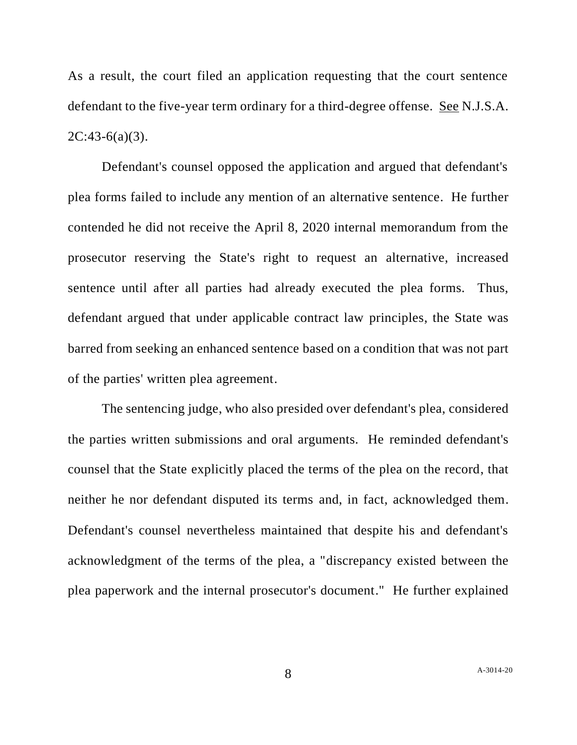As a result, the court filed an application requesting that the court sentence defendant to the five-year term ordinary for a third-degree offense. See N.J.S.A.  $2C:43-6(a)(3)$ .

Defendant's counsel opposed the application and argued that defendant's plea forms failed to include any mention of an alternative sentence. He further contended he did not receive the April 8, 2020 internal memorandum from the prosecutor reserving the State's right to request an alternative, increased sentence until after all parties had already executed the plea forms. Thus, defendant argued that under applicable contract law principles, the State was barred from seeking an enhanced sentence based on a condition that was not part of the parties' written plea agreement.

The sentencing judge, who also presided over defendant's plea, considered the parties written submissions and oral arguments. He reminded defendant's counsel that the State explicitly placed the terms of the plea on the record, that neither he nor defendant disputed its terms and, in fact, acknowledged them. Defendant's counsel nevertheless maintained that despite his and defendant's acknowledgment of the terms of the plea, a "discrepancy existed between the plea paperwork and the internal prosecutor's document." He further explained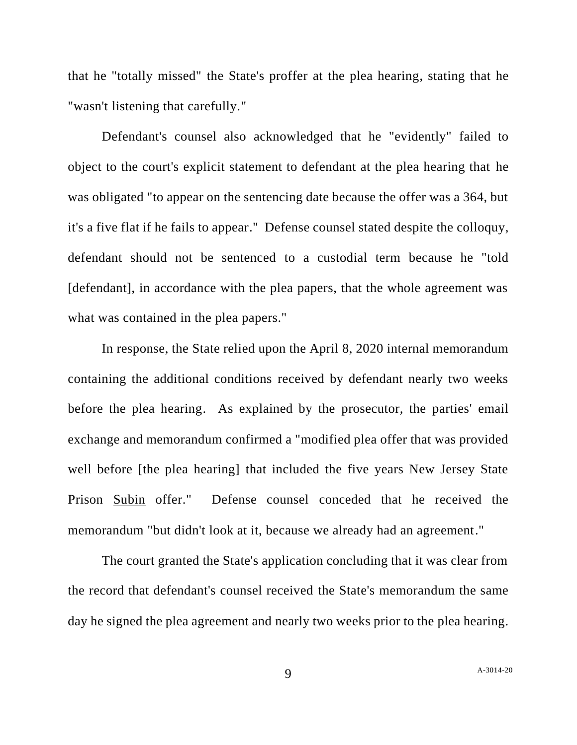that he "totally missed" the State's proffer at the plea hearing, stating that he "wasn't listening that carefully."

Defendant's counsel also acknowledged that he "evidently" failed to object to the court's explicit statement to defendant at the plea hearing that he was obligated "to appear on the sentencing date because the offer was a 364, but it's a five flat if he fails to appear." Defense counsel stated despite the colloquy, defendant should not be sentenced to a custodial term because he "told [defendant], in accordance with the plea papers, that the whole agreement was what was contained in the plea papers."

In response, the State relied upon the April 8, 2020 internal memorandum containing the additional conditions received by defendant nearly two weeks before the plea hearing. As explained by the prosecutor, the parties' email exchange and memorandum confirmed a "modified plea offer that was provided well before [the plea hearing] that included the five years New Jersey State Prison Subin offer." Defense counsel conceded that he received the memorandum "but didn't look at it, because we already had an agreement."

The court granted the State's application concluding that it was clear from the record that defendant's counsel received the State's memorandum the same day he signed the plea agreement and nearly two weeks prior to the plea hearing.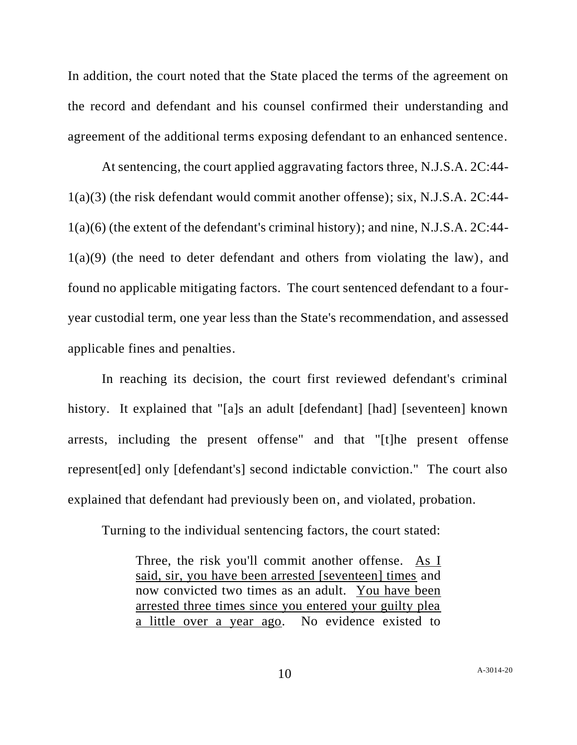In addition, the court noted that the State placed the terms of the agreement on the record and defendant and his counsel confirmed their understanding and agreement of the additional terms exposing defendant to an enhanced sentence.

At sentencing, the court applied aggravating factors three, N.J.S.A. 2C:44- 1(a)(3) (the risk defendant would commit another offense); six, N.J.S.A. 2C:44- 1(a)(6) (the extent of the defendant's criminal history); and nine, N.J.S.A. 2C:44-  $1(a)(9)$  (the need to deter defendant and others from violating the law), and found no applicable mitigating factors. The court sentenced defendant to a fouryear custodial term, one year less than the State's recommendation, and assessed applicable fines and penalties.

In reaching its decision, the court first reviewed defendant's criminal history. It explained that "[a]s an adult [defendant] [had] [seventeen] known arrests, including the present offense" and that "[t]he present offense represent[ed] only [defendant's] second indictable conviction." The court also explained that defendant had previously been on, and violated, probation.

Turning to the individual sentencing factors, the court stated:

Three, the risk you'll commit another offense. As I said, sir, you have been arrested [seventeen] times and now convicted two times as an adult. You have been arrested three times since you entered your guilty plea a little over a year ago. No evidence existed to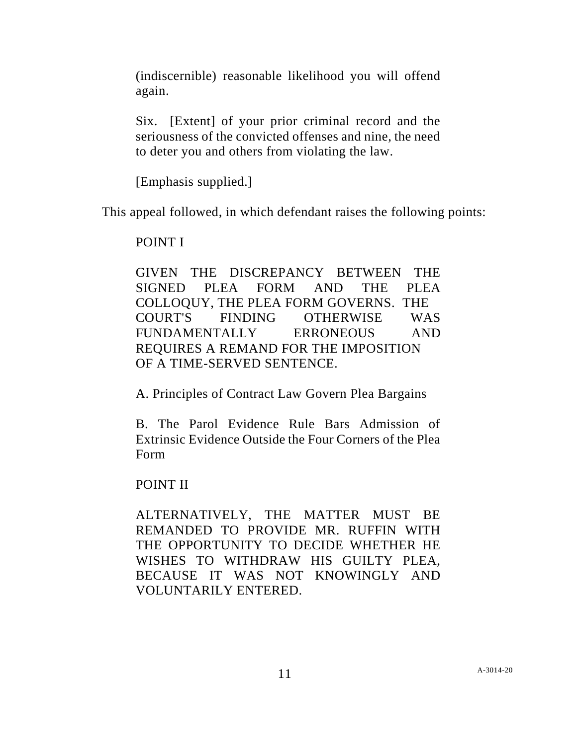(indiscernible) reasonable likelihood you will offend again.

Six. [Extent] of your prior criminal record and the seriousness of the convicted offenses and nine, the need to deter you and others from violating the law.

[Emphasis supplied.]

This appeal followed, in which defendant raises the following points:

# POINT I

GIVEN THE DISCREPANCY BETWEEN THE SIGNED PLEA FORM AND THE PLEA COLLOQUY, THE PLEA FORM GOVERNS. THE COURT'S FINDING OTHERWISE WAS FUNDAMENTALLY ERRONEOUS AND REQUIRES A REMAND FOR THE IMPOSITION OF A TIME-SERVED SENTENCE.

A. Principles of Contract Law Govern Plea Bargains

B. The Parol Evidence Rule Bars Admission of Extrinsic Evidence Outside the Four Corners of the Plea Form

POINT II

ALTERNATIVELY, THE MATTER MUST BE REMANDED TO PROVIDE MR. RUFFIN WITH THE OPPORTUNITY TO DECIDE WHETHER HE WISHES TO WITHDRAW HIS GUILTY PLEA, BECAUSE IT WAS NOT KNOWINGLY AND VOLUNTARILY ENTERED.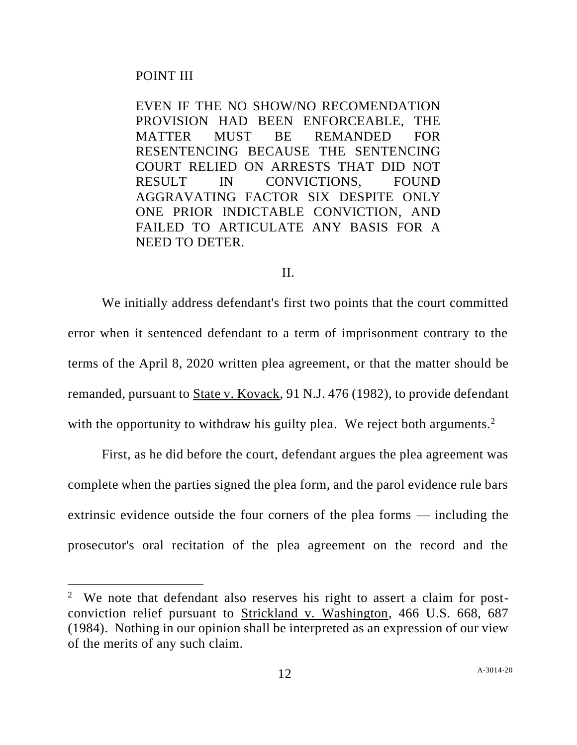# POINT III

EVEN IF THE NO SHOW/NO RECOMENDATION PROVISION HAD BEEN ENFORCEABLE, THE MATTER MUST BE REMANDED FOR RESENTENCING BECAUSE THE SENTENCING COURT RELIED ON ARRESTS THAT DID NOT RESULT IN CONVICTIONS, FOUND AGGRAVATING FACTOR SIX DESPITE ONLY ONE PRIOR INDICTABLE CONVICTION, AND FAILED TO ARTICULATE ANY BASIS FOR A NEED TO DETER.

### II.

We initially address defendant's first two points that the court committed error when it sentenced defendant to a term of imprisonment contrary to the terms of the April 8, 2020 written plea agreement, or that the matter should be remanded, pursuant to State v. Kovack, 91 N.J. 476 (1982), to provide defendant with the opportunity to withdraw his guilty plea. We reject both arguments.<sup>2</sup>

First, as he did before the court, defendant argues the plea agreement was complete when the parties signed the plea form, and the parol evidence rule bars extrinsic evidence outside the four corners of the plea forms — including the prosecutor's oral recitation of the plea agreement on the record and the

<sup>&</sup>lt;sup>2</sup> We note that defendant also reserves his right to assert a claim for postconviction relief pursuant to Strickland v. Washington, 466 U.S. 668, 687 (1984). Nothing in our opinion shall be interpreted as an expression of our view of the merits of any such claim.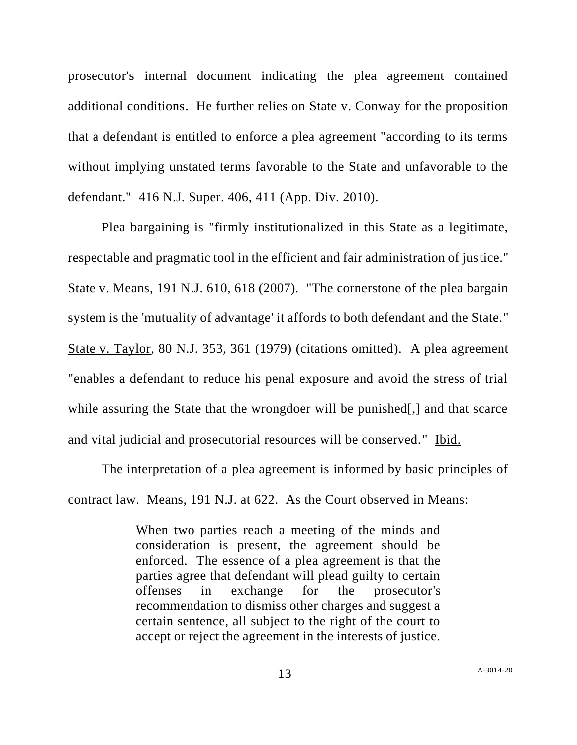prosecutor's internal document indicating the plea agreement contained additional conditions. He further relies on State v. Conway for the proposition that a defendant is entitled to enforce a plea agreement "according to its terms without implying unstated terms favorable to the State and unfavorable to the defendant." 416 N.J. Super. 406, 411 (App. Div. 2010).

Plea bargaining is "firmly institutionalized in this State as a legitimate, respectable and pragmatic tool in the efficient and fair administration of justice." State v. Means, 191 N.J. 610, 618 (2007). "The cornerstone of the plea bargain system is the 'mutuality of advantage' it affords to both defendant and the State." State v. Taylor, 80 N.J. 353, 361 (1979) (citations omitted). A plea agreement "enables a defendant to reduce his penal exposure and avoid the stress of trial while assuring the State that the wrongdoer will be punished. and that scarce and vital judicial and prosecutorial resources will be conserved." Ibid.

The interpretation of a plea agreement is informed by basic principles of contract law. Means, 191 N.J. at 622. As the Court observed in Means:

> When two parties reach a meeting of the minds and consideration is present, the agreement should be enforced. The essence of a plea agreement is that the parties agree that defendant will plead guilty to certain offenses in exchange for the prosecutor's recommendation to dismiss other charges and suggest a certain sentence, all subject to the right of the court to accept or reject the agreement in the interests of justice.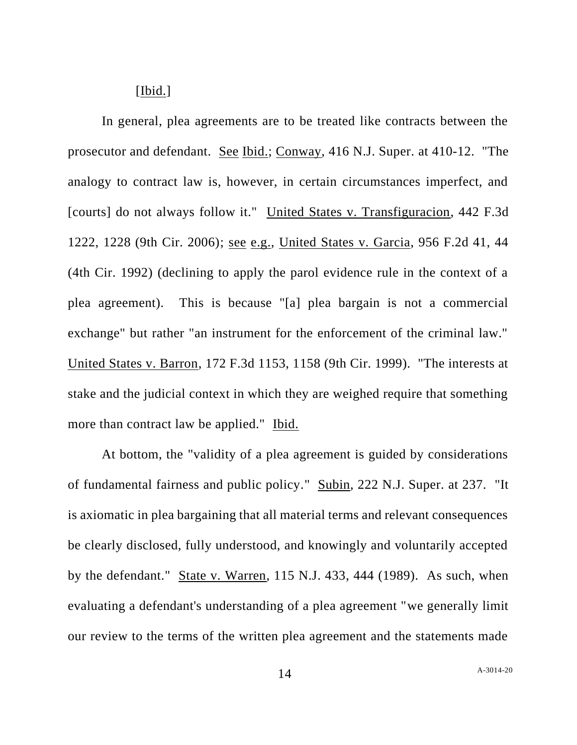### [Ibid.]

In general, plea agreements are to be treated like contracts between the prosecutor and defendant. See Ibid.; Conway, 416 N.J. Super. at 410-12. "The analogy to contract law is, however, in certain circumstances imperfect, and [courts] do not always follow it." United States v. Transfiguracion, 442 F.3d 1222, 1228 (9th Cir. 2006); see e.g., United States v. Garcia, 956 F.2d 41, 44 (4th Cir. 1992) (declining to apply the parol evidence rule in the context of a plea agreement). This is because "[a] plea bargain is not a commercial exchange" but rather "an instrument for the enforcement of the criminal law." United States v. Barron, 172 F.3d 1153, 1158 (9th Cir. 1999). "The interests at stake and the judicial context in which they are weighed require that something more than contract law be applied." Ibid.

At bottom, the "validity of a plea agreement is guided by considerations of fundamental fairness and public policy." Subin, 222 N.J. Super. at 237. "It is axiomatic in plea bargaining that all material terms and relevant consequences be clearly disclosed, fully understood, and knowingly and voluntarily accepted by the defendant." State v. Warren, 115 N.J. 433, 444 (1989). As such, when evaluating a defendant's understanding of a plea agreement "we generally limit our review to the terms of the written plea agreement and the statements made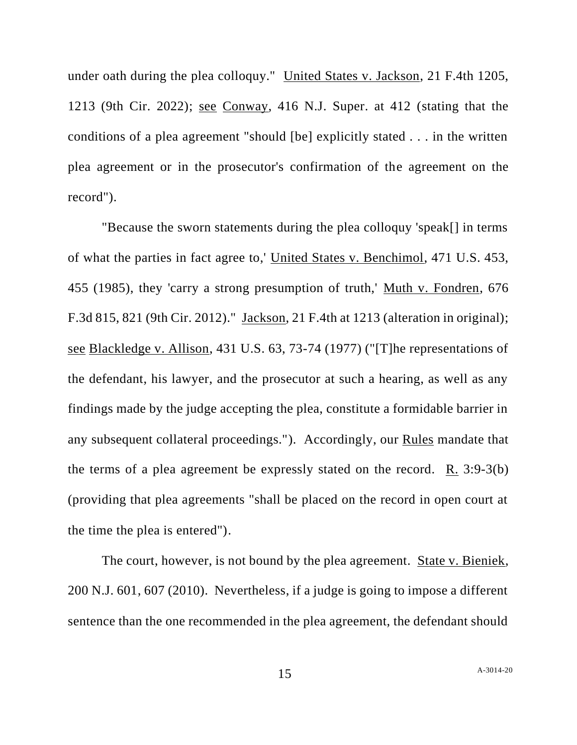under oath during the plea colloquy." United States v. Jackson, 21 F.4th 1205, 1213 (9th Cir. 2022); see Conway, 416 N.J. Super. at 412 (stating that the conditions of a plea agreement "should [be] explicitly stated . . . in the written plea agreement or in the prosecutor's confirmation of the agreement on the record").

"Because the sworn statements during the plea colloquy 'speak[] in terms of what the parties in fact agree to,' United States v. Benchimol, 471 U.S. 453, 455 (1985), they 'carry a strong presumption of truth,' Muth v. Fondren, 676 F.3d 815, 821 (9th Cir. 2012)." Jackson, 21 F.4th at 1213 (alteration in original); see Blackledge v. Allison, 431 U.S. 63, 73-74 (1977) ("[T]he representations of the defendant, his lawyer, and the prosecutor at such a hearing, as well as any findings made by the judge accepting the plea, constitute a formidable barrier in any subsequent collateral proceedings."). Accordingly, our Rules mandate that the terms of a plea agreement be expressly stated on the record.  $R_1$  3:9-3(b) (providing that plea agreements "shall be placed on the record in open court at the time the plea is entered").

The court, however, is not bound by the plea agreement. State v. Bieniek, 200 N.J. 601, 607 (2010). Nevertheless, if a judge is going to impose a different sentence than the one recommended in the plea agreement, the defendant should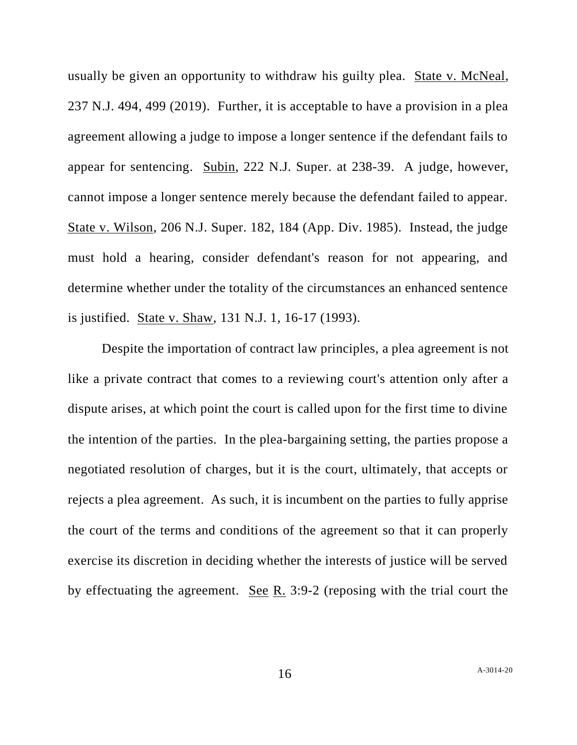usually be given an opportunity to withdraw his guilty plea. State v. McNeal, 237 N.J. 494, 499 (2019). Further, it is acceptable to have a provision in a plea agreement allowing a judge to impose a longer sentence if the defendant fails to appear for sentencing. Subin, 222 N.J. Super. at 238-39. A judge, however, cannot impose a longer sentence merely because the defendant failed to appear. State v. Wilson, 206 N.J. Super. 182, 184 (App. Div. 1985). Instead, the judge must hold a hearing, consider defendant's reason for not appearing, and determine whether under the totality of the circumstances an enhanced sentence is justified. State v. Shaw, 131 N.J. 1, 16-17 (1993).

Despite the importation of contract law principles, a plea agreement is not like a private contract that comes to a reviewing court's attention only after a dispute arises, at which point the court is called upon for the first time to divine the intention of the parties. In the plea-bargaining setting, the parties propose a negotiated resolution of charges, but it is the court, ultimately, that accepts or rejects a plea agreement. As such, it is incumbent on the parties to fully apprise the court of the terms and conditions of the agreement so that it can properly exercise its discretion in deciding whether the interests of justice will be served by effectuating the agreement. See R. 3:9-2 (reposing with the trial court the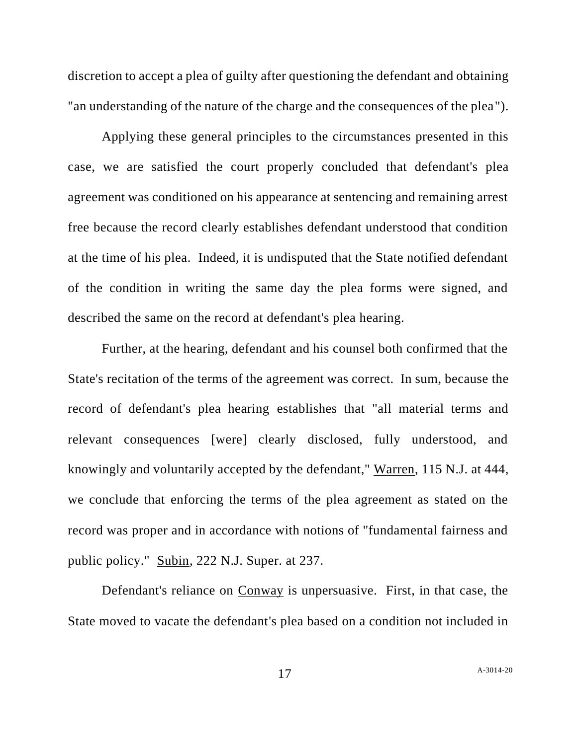discretion to accept a plea of guilty after questioning the defendant and obtaining "an understanding of the nature of the charge and the consequences of the plea").

Applying these general principles to the circumstances presented in this case, we are satisfied the court properly concluded that defendant's plea agreement was conditioned on his appearance at sentencing and remaining arrest free because the record clearly establishes defendant understood that condition at the time of his plea. Indeed, it is undisputed that the State notified defendant of the condition in writing the same day the plea forms were signed, and described the same on the record at defendant's plea hearing.

Further, at the hearing, defendant and his counsel both confirmed that the State's recitation of the terms of the agreement was correct. In sum, because the record of defendant's plea hearing establishes that "all material terms and relevant consequences [were] clearly disclosed, fully understood, and knowingly and voluntarily accepted by the defendant," Warren, 115 N.J. at 444, we conclude that enforcing the terms of the plea agreement as stated on the record was proper and in accordance with notions of "fundamental fairness and public policy." Subin, 222 N.J. Super. at 237.

Defendant's reliance on Conway is unpersuasive. First, in that case, the State moved to vacate the defendant's plea based on a condition not included in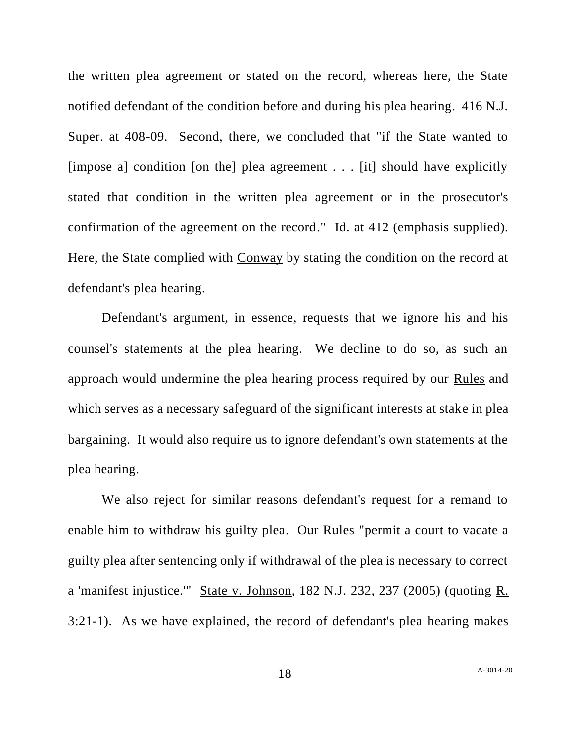the written plea agreement or stated on the record, whereas here, the State notified defendant of the condition before and during his plea hearing. 416 N.J. Super. at 408-09. Second, there, we concluded that "if the State wanted to [impose a] condition [on the] plea agreement . . . [it] should have explicitly stated that condition in the written plea agreement or in the prosecutor's confirmation of the agreement on the record." Id. at 412 (emphasis supplied). Here, the State complied with Conway by stating the condition on the record at defendant's plea hearing.

Defendant's argument, in essence, requests that we ignore his and his counsel's statements at the plea hearing. We decline to do so, as such an approach would undermine the plea hearing process required by our Rules and which serves as a necessary safeguard of the significant interests at stake in plea bargaining. It would also require us to ignore defendant's own statements at the plea hearing.

We also reject for similar reasons defendant's request for a remand to enable him to withdraw his guilty plea. Our Rules "permit a court to vacate a guilty plea after sentencing only if withdrawal of the plea is necessary to correct a 'manifest injustice.'" State v. Johnson, 182 N.J. 232, 237 (2005) (quoting R. 3:21-1). As we have explained, the record of defendant's plea hearing makes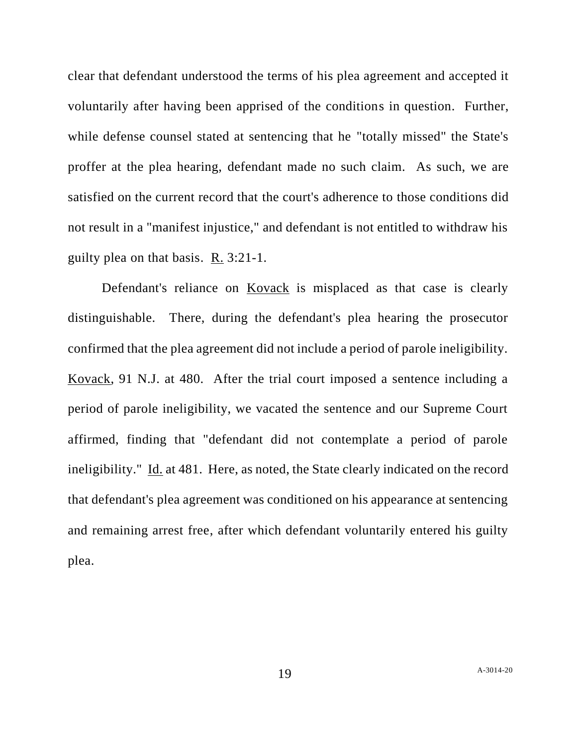clear that defendant understood the terms of his plea agreement and accepted it voluntarily after having been apprised of the conditions in question. Further, while defense counsel stated at sentencing that he "totally missed" the State's proffer at the plea hearing, defendant made no such claim. As such, we are satisfied on the current record that the court's adherence to those conditions did not result in a "manifest injustice," and defendant is not entitled to withdraw his guilty plea on that basis. R. 3:21-1.

Defendant's reliance on Kovack is misplaced as that case is clearly distinguishable. There, during the defendant's plea hearing the prosecutor confirmed that the plea agreement did not include a period of parole ineligibility. Kovack, 91 N.J. at 480. After the trial court imposed a sentence including a period of parole ineligibility, we vacated the sentence and our Supreme Court affirmed, finding that "defendant did not contemplate a period of parole ineligibility." Id. at 481. Here, as noted, the State clearly indicated on the record that defendant's plea agreement was conditioned on his appearance at sentencing and remaining arrest free, after which defendant voluntarily entered his guilty plea.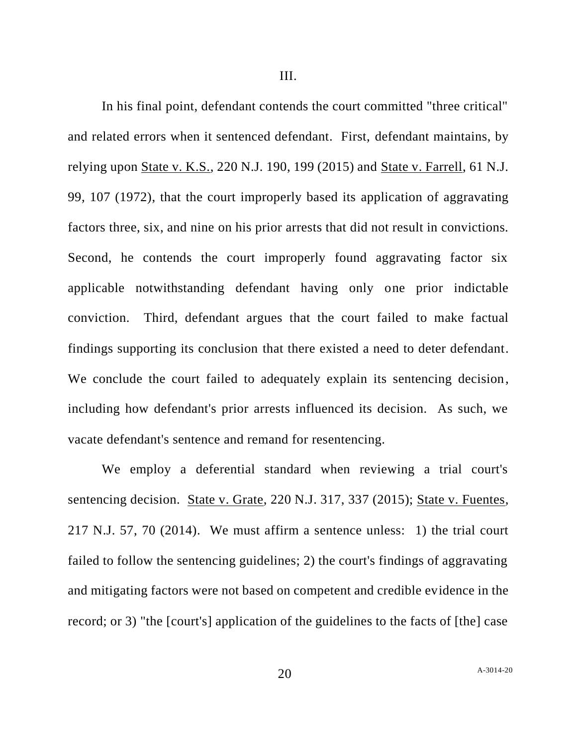III.

In his final point, defendant contends the court committed "three critical" and related errors when it sentenced defendant. First, defendant maintains, by relying upon State v. K.S., 220 N.J. 190, 199 (2015) and State v. Farrell, 61 N.J. 99, 107 (1972), that the court improperly based its application of aggravating factors three, six, and nine on his prior arrests that did not result in convictions. Second, he contends the court improperly found aggravating factor six applicable notwithstanding defendant having only one prior indictable conviction. Third, defendant argues that the court failed to make factual findings supporting its conclusion that there existed a need to deter defendant. We conclude the court failed to adequately explain its sentencing decision, including how defendant's prior arrests influenced its decision. As such, we vacate defendant's sentence and remand for resentencing.

We employ a deferential standard when reviewing a trial court's sentencing decision. State v. Grate, 220 N.J. 317, 337 (2015); State v. Fuentes, 217 N.J. 57, 70 (2014). We must affirm a sentence unless: 1) the trial court failed to follow the sentencing guidelines; 2) the court's findings of aggravating and mitigating factors were not based on competent and credible evidence in the record; or 3) "the [court's] application of the guidelines to the facts of [the] case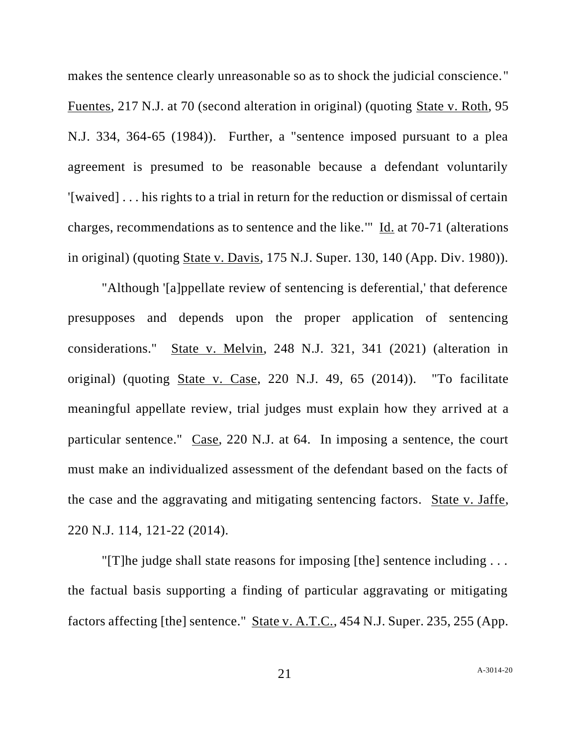makes the sentence clearly unreasonable so as to shock the judicial conscience."

Fuentes, 217 N.J. at 70 (second alteration in original) (quoting State v. Roth, 95 N.J. 334, 364-65 (1984)). Further, a "sentence imposed pursuant to a plea agreement is presumed to be reasonable because a defendant voluntarily '[waived] . . . his rights to a trial in return for the reduction or dismissal of certain charges, recommendations as to sentence and the like.'" Id. at 70-71 (alterations in original) (quoting State v. Davis, 175 N.J. Super. 130, 140 (App. Div. 1980)).

"Although '[a]ppellate review of sentencing is deferential,' that deference presupposes and depends upon the proper application of sentencing considerations." State v. Melvin, 248 N.J. 321, 341 (2021) (alteration in original) (quoting State v. Case, 220 N.J. 49, 65 (2014)). "To facilitate meaningful appellate review, trial judges must explain how they arrived at a particular sentence." Case, 220 N.J. at 64. In imposing a sentence, the court must make an individualized assessment of the defendant based on the facts of the case and the aggravating and mitigating sentencing factors. State v. Jaffe, 220 N.J. 114, 121-22 (2014).

"[T]he judge shall state reasons for imposing [the] sentence including . . . the factual basis supporting a finding of particular aggravating or mitigating factors affecting [the] sentence." State v. A.T.C., 454 N.J. Super. 235, 255 (App.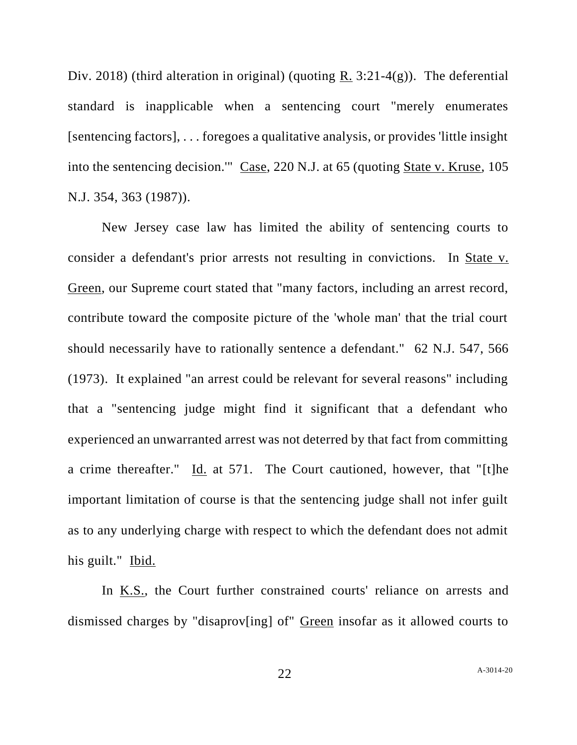Div. 2018) (third alteration in original) (quoting R. 3:21-4(g)). The deferential standard is inapplicable when a sentencing court "merely enumerates [sentencing factors], . . . foregoes a qualitative analysis, or provides 'little insight into the sentencing decision.'" Case, 220 N.J. at 65 (quoting State v. Kruse, 105 N.J. 354, 363 (1987)).

New Jersey case law has limited the ability of sentencing courts to consider a defendant's prior arrests not resulting in convictions. In State v. Green, our Supreme court stated that "many factors, including an arrest record, contribute toward the composite picture of the 'whole man' that the trial court should necessarily have to rationally sentence a defendant." 62 N.J. 547, 566 (1973). It explained "an arrest could be relevant for several reasons" including that a "sentencing judge might find it significant that a defendant who experienced an unwarranted arrest was not deterred by that fact from committing a crime thereafter." Id. at 571. The Court cautioned, however, that "[t]he important limitation of course is that the sentencing judge shall not infer guilt as to any underlying charge with respect to which the defendant does not admit his guilt." Ibid.

In K.S., the Court further constrained courts' reliance on arrests and dismissed charges by "disaprov[ing] of" Green insofar as it allowed courts to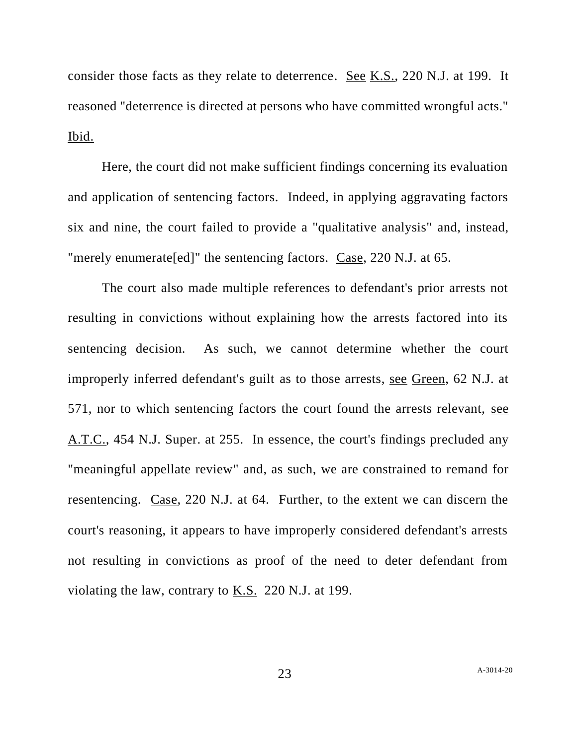consider those facts as they relate to deterrence. See K.S., 220 N.J. at 199. It reasoned "deterrence is directed at persons who have committed wrongful acts." Ibid.

Here, the court did not make sufficient findings concerning its evaluation and application of sentencing factors. Indeed, in applying aggravating factors six and nine, the court failed to provide a "qualitative analysis" and, instead, "merely enumerate[ed]" the sentencing factors. Case, 220 N.J. at 65.

The court also made multiple references to defendant's prior arrests not resulting in convictions without explaining how the arrests factored into its sentencing decision. As such, we cannot determine whether the court improperly inferred defendant's guilt as to those arrests, see Green, 62 N.J. at 571, nor to which sentencing factors the court found the arrests relevant, see A.T.C., 454 N.J. Super. at 255. In essence, the court's findings precluded any "meaningful appellate review" and, as such, we are constrained to remand for resentencing. Case, 220 N.J. at 64. Further, to the extent we can discern the court's reasoning, it appears to have improperly considered defendant's arrests not resulting in convictions as proof of the need to deter defendant from violating the law, contrary to K.S. 220 N.J. at 199.